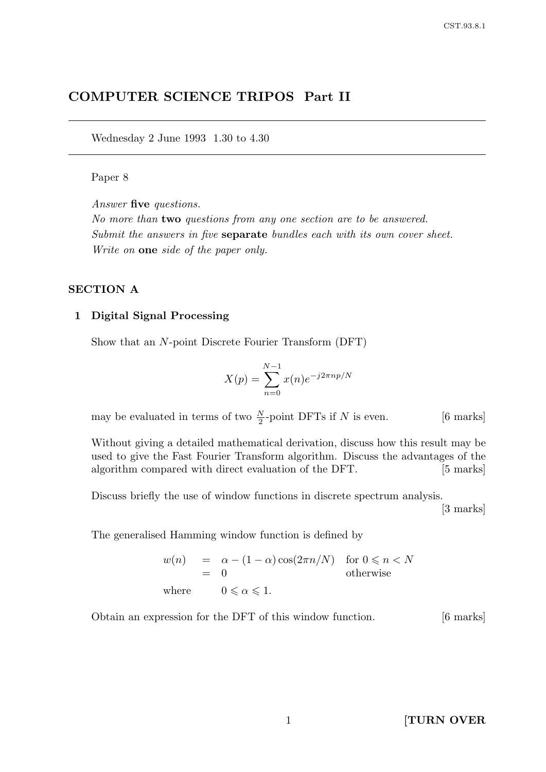# COMPUTER SCIENCE TRIPOS Part II

Wednesday 2 June 1993 1.30 to 4.30

## Paper 8

Answer five questions.

No more than two questions from any one section are to be answered. Submit the answers in five **separate** bundles each with its own cover sheet. Write on one side of the paper only.

### SECTION A

### 1 Digital Signal Processing

Show that an N-point Discrete Fourier Transform (DFT)

$$
X(p) = \sum_{n=0}^{N-1} x(n)e^{-j2\pi np/N}
$$

may be evaluated in terms of two  $\frac{N}{2}$ -point DFTs if N is even. [6 marks]

Without giving a detailed mathematical derivation, discuss how this result may be used to give the Fast Fourier Transform algorithm. Discuss the advantages of the algorithm compared with direct evaluation of the DFT. [5 marks]

Discuss briefly the use of window functions in discrete spectrum analysis.

[3 marks]

The generalised Hamming window function is defined by

$$
w(n) = \alpha - (1 - \alpha) \cos(2\pi n/N) \quad \text{for } 0 \le n < N
$$
  
= 0 \qquad \text{otherwise}  
where  $0 \le \alpha \le 1$ .

Obtain an expression for the DFT of this window function. [6 marks]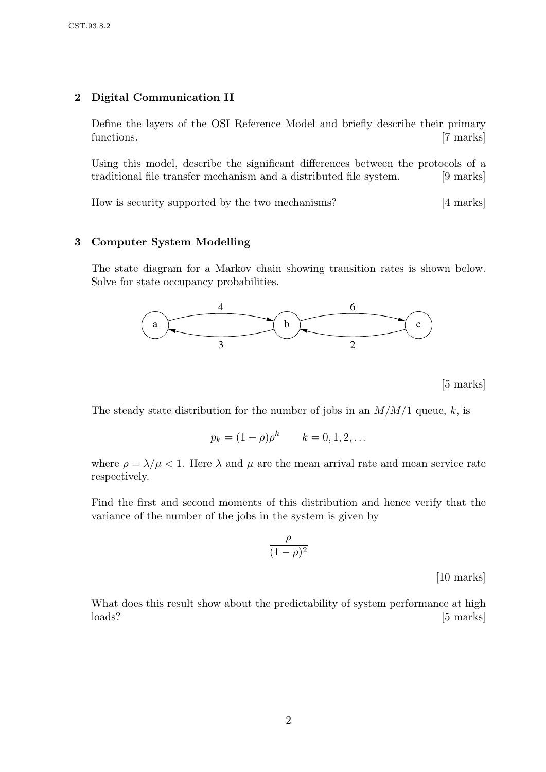## 2 Digital Communication II

Define the layers of the OSI Reference Model and briefly describe their primary functions. [7 marks]

Using this model, describe the significant differences between the protocols of a traditional file transfer mechanism and a distributed file system. [9 marks]

How is security supported by the two mechanisms? [4 marks]

### 3 Computer System Modelling

The state diagram for a Markov chain showing transition rates is shown below. Solve for state occupancy probabilities.



[5 marks]

The steady state distribution for the number of jobs in an  $M/M/1$  queue, k, is

$$
p_k = (1 - \rho)\rho^k
$$
  $k = 0, 1, 2, ...$ 

where  $\rho = \lambda/\mu < 1$ . Here  $\lambda$  and  $\mu$  are the mean arrival rate and mean service rate respectively.

Find the first and second moments of this distribution and hence verify that the variance of the number of the jobs in the system is given by

$$
\frac{\rho}{(1-\rho)^2}
$$

[10 marks]

What does this result show about the predictability of system performance at high loads? [5 marks]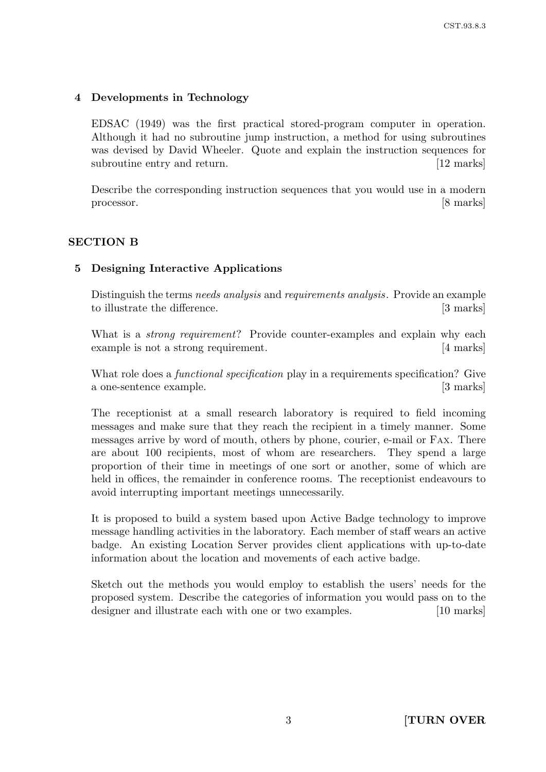## 4 Developments in Technology

EDSAC (1949) was the first practical stored-program computer in operation. Although it had no subroutine jump instruction, a method for using subroutines was devised by David Wheeler. Quote and explain the instruction sequences for subroutine entry and return. [12 marks]

Describe the corresponding instruction sequences that you would use in a modern processor. [8 marks]

## SECTION B

## 5 Designing Interactive Applications

Distinguish the terms needs analysis and requirements analysis. Provide an example to illustrate the difference. [3 marks]

What is a *strong requirement*? Provide counter-examples and explain why each example is not a strong requirement. [4 marks]

What role does a *functional specification* play in a requirements specification? Give a one-sentence example. [3 marks]

The receptionist at a small research laboratory is required to field incoming messages and make sure that they reach the recipient in a timely manner. Some messages arrive by word of mouth, others by phone, courier, e-mail or FAX. There are about 100 recipients, most of whom are researchers. They spend a large proportion of their time in meetings of one sort or another, some of which are held in offices, the remainder in conference rooms. The receptionist endeavours to avoid interrupting important meetings unnecessarily.

It is proposed to build a system based upon Active Badge technology to improve message handling activities in the laboratory. Each member of staff wears an active badge. An existing Location Server provides client applications with up-to-date information about the location and movements of each active badge.

Sketch out the methods you would employ to establish the users' needs for the proposed system. Describe the categories of information you would pass on to the designer and illustrate each with one or two examples. [10 marks]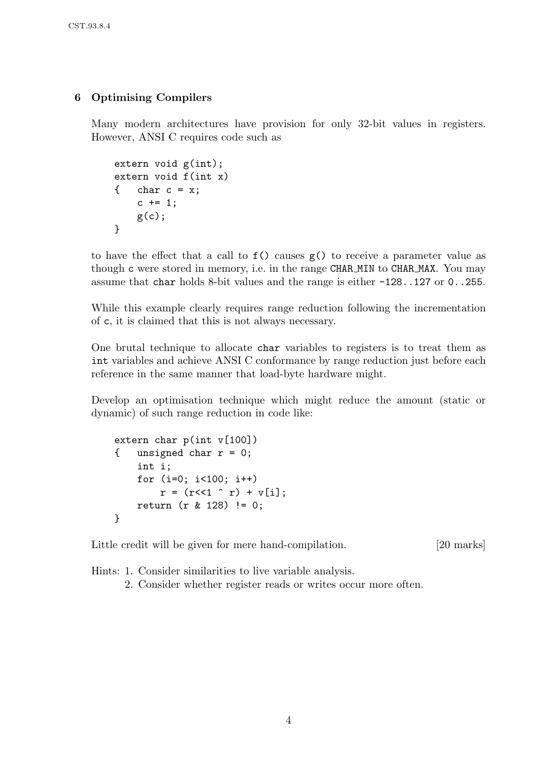## 6 Optimising Compilers

Many modern architectures have provision for only 32-bit values in registers. However, ANSI C requires code such as

```
extern void g(int);
extern void f(int x)
{ char c = x;c += 1;
    g(c);
}
```
to have the effect that a call to f() causes g() to receive a parameter value as though c were stored in memory, i.e. in the range CHAR MIN to CHAR MAX. You may assume that char holds 8-bit values and the range is either -128..127 or 0..255.

While this example clearly requires range reduction following the incrementation of c, it is claimed that this is not always necessary.

One brutal technique to allocate char variables to registers is to treat them as int variables and achieve ANSI C conformance by range reduction just before each reference in the same manner that load-byte hardware might.

Develop an optimisation technique which might reduce the amount (static or dynamic) of such range reduction in code like:

```
extern char p(int v[100])
{ unsigned char r = 0;
    int i;
    for (i=0; i<100; i++)
        r = (r<<1 \rightharpoonup r) + v[i];return (r & 128) != 0;
}
```
Little credit will be given for mere hand-compilation. [20 marks]

Hints: 1. Consider similarities to live variable analysis.

2. Consider whether register reads or writes occur more often.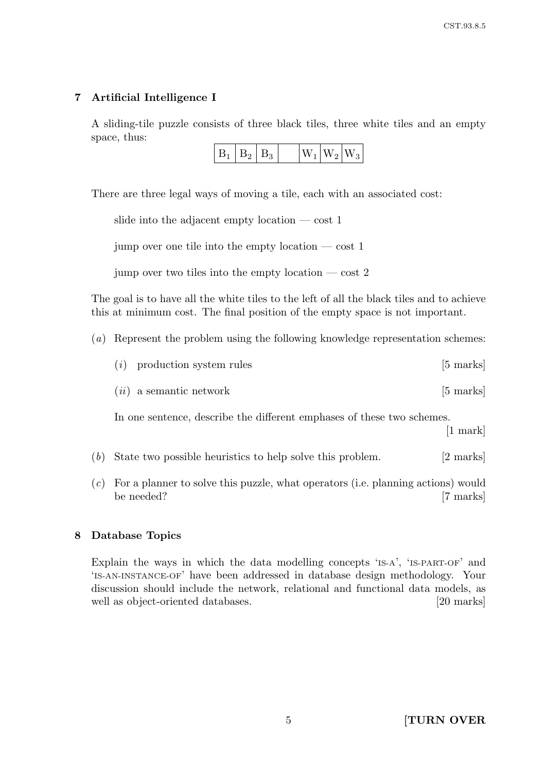## 7 Artificial Intelligence I

A sliding-tile puzzle consists of three black tiles, three white tiles and an empty space, thus:

| $W_1 W_2 W_3$<br>L<br>B٥ |
|--------------------------|
|--------------------------|

There are three legal ways of moving a tile, each with an associated cost:

|  |  |  | slide into the adjacent empty location $-\cot 1$ |  |
|--|--|--|--------------------------------------------------|--|
|  |  |  |                                                  |  |

jump over one tile into the empty location  $-\cos t$  1

jump over two tiles into the empty location — cost 2

The goal is to have all the white tiles to the left of all the black tiles and to achieve this at minimum cost. The final position of the empty space is not important.

(a) Represent the problem using the following knowledge representation schemes:

| $(i)$ production system rules | $[5 \text{ marks}]$ |
|-------------------------------|---------------------|
|                               |                     |

 $(ii)$  a semantic network [5 marks]

In one sentence, describe the different emphases of these two schemes.

[1 mark]

- (b) State two possible heuristics to help solve this problem. [2 marks]
- (c) For a planner to solve this puzzle, what operators (i.e. planning actions) would be needed? [7 marks]

## 8 Database Topics

Explain the ways in which the data modelling concepts 'IS-A', 'IS-PART-OF' and 'IS-AN-INSTANCE-OF' have been addressed in database design methodology. Your discussion should include the network, relational and functional data models, as well as object-oriented databases. [20 marks]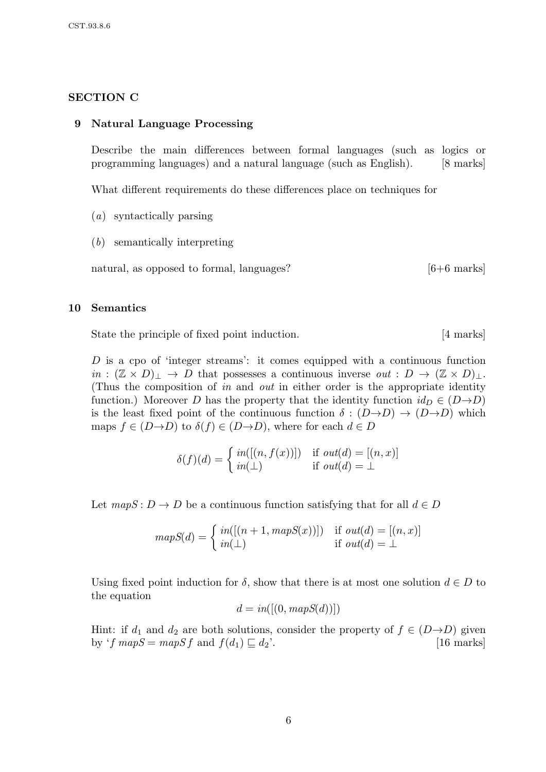### SECTION C

#### 9 Natural Language Processing

Describe the main differences between formal languages (such as logics or programming languages) and a natural language (such as English). [8 marks]

What different requirements do these differences place on techniques for

- (a) syntactically parsing
- (b) semantically interpreting

natural, as opposed to formal, languages? [6+6 marks]

#### 10 Semantics

State the principle of fixed point induction. [4 marks]

D is a cpo of 'integer streams': it comes equipped with a continuous function  $in : (\mathbb{Z} \times D)_\perp \to D$  that possesses a continuous inverse  $out : D \to (\mathbb{Z} \times D)_\perp$ . (Thus the composition of in and out in either order is the appropriate identity function.) Moreover D has the property that the identity function  $id_D \in (D \rightarrow D)$ is the least fixed point of the continuous function  $\delta : (D \rightarrow D) \rightarrow (D \rightarrow D)$  which maps  $f \in (D \rightarrow D)$  to  $\delta(f) \in (D \rightarrow D)$ , where for each  $d \in D$ 

$$
\delta(f)(d) = \begin{cases} \text{in}([n, f(x))]) & \text{if } \text{out}(d) = [(n, x)] \\ \text{in}(\perp) & \text{if } \text{out}(d) = \perp \end{cases}
$$

Let  $mapS: D \to D$  be a continuous function satisfying that for all  $d \in D$ 

$$
mapS(d) = \begin{cases} in([(n+1, mapS(x))]) & \text{if } out(d) = [(n, x)] \\ in(\bot) & \text{if } out(d) = \bot \end{cases}
$$

Using fixed point induction for  $\delta$ , show that there is at most one solution  $d \in D$  to the equation

$$
d = in([(0, mapS(d))])
$$

Hint: if  $d_1$  and  $d_2$  are both solutions, consider the property of  $f \in (D \rightarrow D)$  given by 'f  $mapS = mapS f$  and  $f(d_1) \sqsubseteq d_2'$ . [16 marks]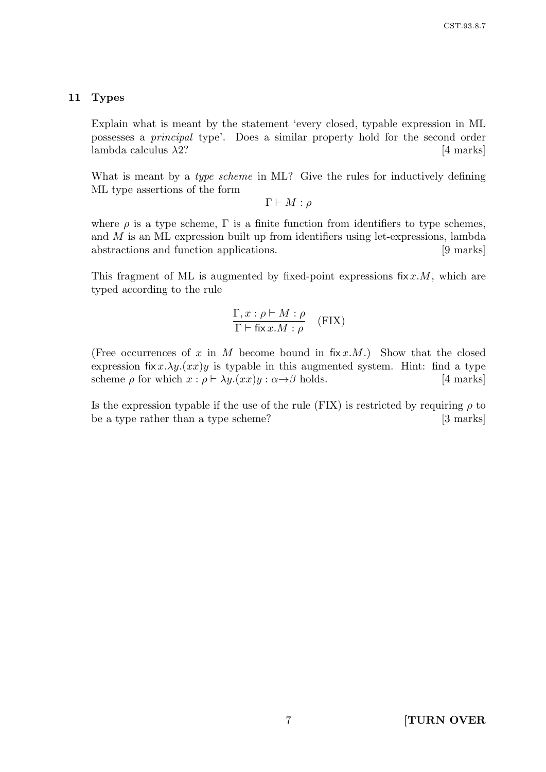#### 11 Types

Explain what is meant by the statement 'every closed, typable expression in ML possesses a principal type'. Does a similar property hold for the second order lambda calculus  $\lambda$ 2? [4 marks]

What is meant by a *type scheme* in ML? Give the rules for inductively defining ML type assertions of the form

 $\Gamma \vdash M : \rho$ 

where  $\rho$  is a type scheme,  $\Gamma$  is a finite function from identifiers to type schemes, and M is an ML expression built up from identifiers using let-expressions, lambda abstractions and function applications. [9 marks]

This fragment of ML is augmented by fixed-point expressions fix  $x.M$ , which are typed according to the rule

$$
\frac{\Gamma, x : \rho \vdash M : \rho}{\Gamma \vdash \text{fix } x.M : \rho} \quad (\text{FIN})
$$

(Free occurrences of x in M become bound in  $fix x.M$ .) Show that the closed expression fix  $x.\lambda y.(xx)y$  is typable in this augmented system. Hint: find a type scheme  $\rho$  for which  $x : \rho \vdash \lambda y.(xx)y : \alpha \rightarrow \beta$  holds. [4 marks]

Is the expression typable if the use of the rule (FIX) is restricted by requiring  $\rho$  to be a type rather than a type scheme? [3 marks]